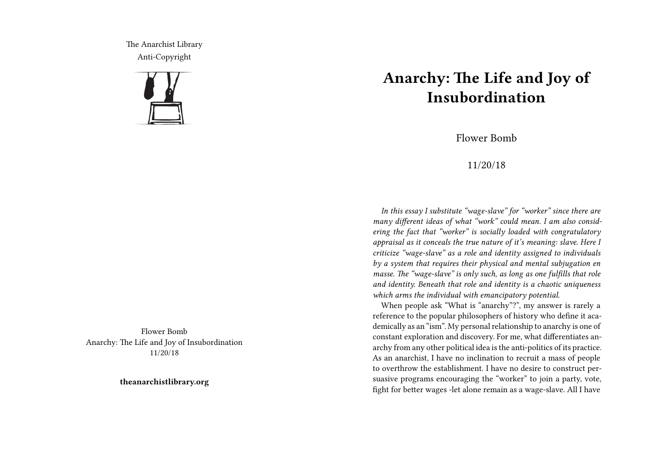The Anarchist Library Anti-Copyright



Flower Bomb Anarchy: The Life and Joy of Insubordination 11/20/18

**theanarchistlibrary.org**

## **Anarchy: The Life and Joy of Insubordination**

Flower Bomb

## 11/20/18

*In this essay I substitute "wage-slave" for "worker" since there are many different ideas of what "work" could mean. I am also considering the fact that "worker" is socially loaded with congratulatory appraisal as it conceals the true nature of it's meaning: slave. Here I criticize "wage-slave" as a role and identity assigned to individuals by a system that requires their physical and mental subjugation en masse. The "wage-slave" is only such, as long as one fulfills that role and identity. Beneath that role and identity is a chaotic uniqueness which arms the individual with emancipatory potential.*

When people ask "What is "anarchy"?", my answer is rarely a reference to the popular philosophers of history who define it academically as an "ism". My personal relationship to anarchy is one of constant exploration and discovery. For me, what differentiates anarchy from any other political idea is the anti-politics of its practice. As an anarchist, I have no inclination to recruit a mass of people to overthrow the establishment. I have no desire to construct persuasive programs encouraging the "worker" to join a party, vote, fight for better wages -let alone remain as a wage-slave. All I have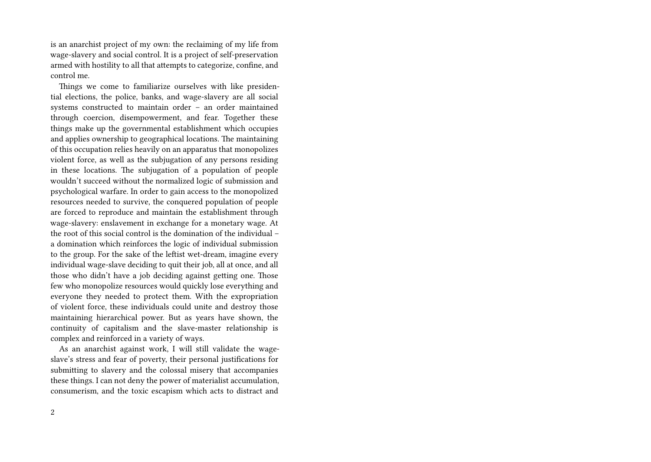is an anarchist project of my own: the reclaiming of my life from wage-slavery and social control. It is a project of self-preservation armed with hostility to all that attempts to categorize, confine, and control me.

Things we come to familiarize ourselves with like presidential elections, the police, banks, and wage-slavery are all social systems constructed to maintain order – an order maintained through coercion, disempowerment, and fear. Together these things make up the governmental establishment which occupies and applies ownership to geographical locations. The maintaining of this occupation relies heavily on an apparatus that monopolizes violent force, as well as the subjugation of any persons residing in these locations. The subjugation of a population of people wouldn't succeed without the normalized logic of submission and psychological warfare. In order to gain access to the monopolized resources needed to survive, the conquered population of people are forced to reproduce and maintain the establishment through wage-slavery: enslavement in exchange for a monetary wage. At the root of this social control is the domination of the individual – a domination which reinforces the logic of individual submission to the group. For the sake of the leftist wet-dream, imagine every individual wage-slave deciding to quit their job, all at once, and all those who didn't have a job deciding against getting one. Those few who monopolize resources would quickly lose everything and everyone they needed to protect them. With the expropriation of violent force, these individuals could unite and destroy those maintaining hierarchical power. But as years have shown, the continuity of capitalism and the slave-master relationship is complex and reinforced in a variety of ways.

As an anarchist against work, I will still validate the wageslave's stress and fear of poverty, their personal justifications for submitting to slavery and the colossal misery that accompanies these things. I can not deny the power of materialist accumulation, consumerism, and the toxic escapism which acts to distract and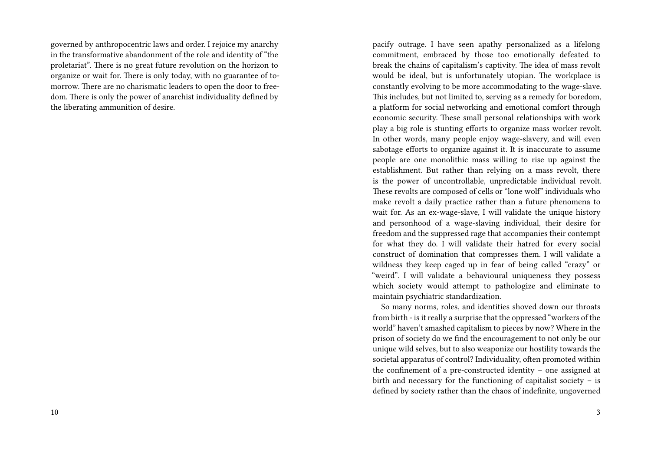governed by anthropocentric laws and order. I rejoice my anarchy in the transformative abandonment of the role and identity of "the proletariat". There is no great future revolution on the horizon to organize or wait for. There is only today, with no guarantee of tomorrow. There are no charismatic leaders to open the door to freedom. There is only the power of anarchist individuality defined by the liberating ammunition of desire.

pacify outrage. I have seen apathy personalized as a lifelong commitment, embraced by those too emotionally defeated to break the chains of capitalism's captivity. The idea of mass revolt would be ideal, but is unfortunately utopian. The workplace is constantly evolving to be more accommodating to the wage-slave. This includes, but not limited to, serving as a remedy for boredom, a platform for social networking and emotional comfort through economic security. These small personal relationships with work play a big role is stunting efforts to organize mass worker revolt. In other words, many people enjoy wage-slavery, and will even sabotage efforts to organize against it. It is inaccurate to assume people are one monolithic mass willing to rise up against the establishment. But rather than relying on a mass revolt, there is the power of uncontrollable, unpredictable individual revolt. These revolts are composed of cells or "lone wolf" individuals who make revolt a daily practice rather than a future phenomena to wait for. As an ex-wage-slave, I will validate the unique history and personhood of a wage-slaving individual, their desire for freedom and the suppressed rage that accompanies their contempt for what they do. I will validate their hatred for every social construct of domination that compresses them. I will validate a wildness they keep caged up in fear of being called "crazy" or "weird". I will validate a behavioural uniqueness they possess which society would attempt to pathologize and eliminate to maintain psychiatric standardization.

So many norms, roles, and identities shoved down our throats from birth - is it really a surprise that the oppressed "workers of the world" haven't smashed capitalism to pieces by now? Where in the prison of society do we find the encouragement to not only be our unique wild selves, but to also weaponize our hostility towards the societal apparatus of control? Individuality, often promoted within the confinement of a pre-constructed identity – one assigned at birth and necessary for the functioning of capitalist society – is defined by society rather than the chaos of indefinite, ungoverned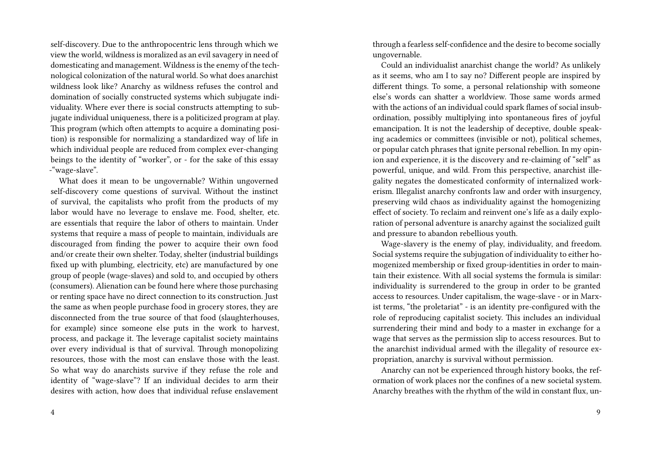self-discovery. Due to the anthropocentric lens through which we view the world, wildness is moralized as an evil savagery in need of domesticating and management. Wildness is the enemy of the technological colonization of the natural world. So what does anarchist wildness look like? Anarchy as wildness refuses the control and domination of socially constructed systems which subjugate individuality. Where ever there is social constructs attempting to subjugate individual uniqueness, there is a politicized program at play. This program (which often attempts to acquire a dominating position) is responsible for normalizing a standardized way of life in which individual people are reduced from complex ever-changing beings to the identity of "worker", or - for the sake of this essay -"wage-slave".

What does it mean to be ungovernable? Within ungoverned self-discovery come questions of survival. Without the instinct of survival, the capitalists who profit from the products of my labor would have no leverage to enslave me. Food, shelter, etc. are essentials that require the labor of others to maintain. Under systems that require a mass of people to maintain, individuals are discouraged from finding the power to acquire their own food and/or create their own shelter. Today, shelter (industrial buildings fixed up with plumbing, electricity, etc) are manufactured by one group of people (wage-slaves) and sold to, and occupied by others (consumers). Alienation can be found here where those purchasing or renting space have no direct connection to its construction. Just the same as when people purchase food in grocery stores, they are disconnected from the true source of that food (slaughterhouses, for example) since someone else puts in the work to harvest, process, and package it. The leverage capitalist society maintains over every individual is that of survival. Through monopolizing resources, those with the most can enslave those with the least. So what way do anarchists survive if they refuse the role and identity of "wage-slave"? If an individual decides to arm their desires with action, how does that individual refuse enslavement

through a fearless self-confidence and the desire to become socially ungovernable.

Could an individualist anarchist change the world? As unlikely as it seems, who am I to say no? Different people are inspired by different things. To some, a personal relationship with someone else's words can shatter a worldview. Those same words armed with the actions of an individual could spark flames of social insubordination, possibly multiplying into spontaneous fires of joyful emancipation. It is not the leadership of deceptive, double speaking academics or committees (invisible or not), political schemes, or popular catch phrases that ignite personal rebellion. In my opinion and experience, it is the discovery and re-claiming of "self" as powerful, unique, and wild. From this perspective, anarchist illegality negates the domesticated conformity of internalized workerism. Illegalist anarchy confronts law and order with insurgency, preserving wild chaos as individuality against the homogenizing effect of society. To reclaim and reinvent one's life as a daily exploration of personal adventure is anarchy against the socialized guilt and pressure to abandon rebellious youth.

Wage-slavery is the enemy of play, individuality, and freedom. Social systems require the subjugation of individuality to either homogenized membership or fixed group-identities in order to maintain their existence. With all social systems the formula is similar: individuality is surrendered to the group in order to be granted access to resources. Under capitalism, the wage-slave - or in Marxist terms, "the proletariat" - is an identity pre-configured with the role of reproducing capitalist society. This includes an individual surrendering their mind and body to a master in exchange for a wage that serves as the permission slip to access resources. But to the anarchist individual armed with the illegality of resource expropriation, anarchy is survival without permission.

Anarchy can not be experienced through history books, the reformation of work places nor the confines of a new societal system. Anarchy breathes with the rhythm of the wild in constant flux, un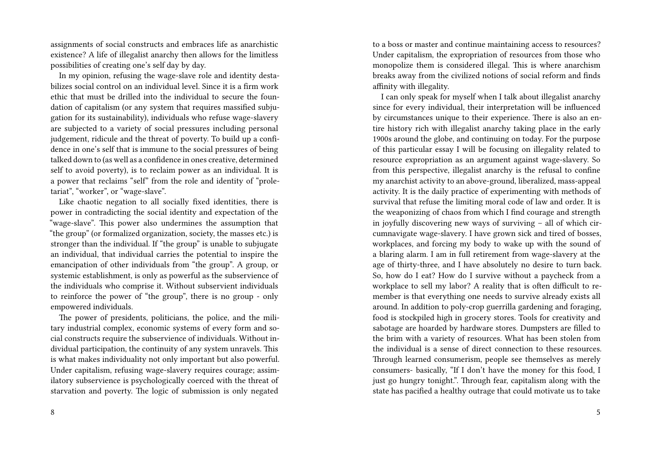assignments of social constructs and embraces life as anarchistic existence? A life of illegalist anarchy then allows for the limitless possibilities of creating one's self day by day.

In my opinion, refusing the wage-slave role and identity destabilizes social control on an individual level. Since it is a firm work ethic that must be drilled into the individual to secure the foundation of capitalism (or any system that requires massified subjugation for its sustainability), individuals who refuse wage-slavery are subjected to a variety of social pressures including personal judgement, ridicule and the threat of poverty. To build up a confidence in one's self that is immune to the social pressures of being talked down to (as well as a confidence in ones creative, determined self to avoid poverty), is to reclaim power as an individual. It is a power that reclaims "self" from the role and identity of "proletariat", "worker", or "wage-slave".

Like chaotic negation to all socially fixed identities, there is power in contradicting the social identity and expectation of the "wage-slave". This power also undermines the assumption that "the group" (or formalized organization, society, the masses etc.) is stronger than the individual. If "the group" is unable to subjugate an individual, that individual carries the potential to inspire the emancipation of other individuals from "the group". A group, or systemic establishment, is only as powerful as the subservience of the individuals who comprise it. Without subservient individuals to reinforce the power of "the group", there is no group - only empowered individuals.

The power of presidents, politicians, the police, and the military industrial complex, economic systems of every form and social constructs require the subservience of individuals. Without individual participation, the continuity of any system unravels. This is what makes individuality not only important but also powerful. Under capitalism, refusing wage-slavery requires courage; assimilatory subservience is psychologically coerced with the threat of starvation and poverty. The logic of submission is only negated

to a boss or master and continue maintaining access to resources? Under capitalism, the expropriation of resources from those who monopolize them is considered illegal. This is where anarchism breaks away from the civilized notions of social reform and finds affinity with illegality.

I can only speak for myself when I talk about illegalist anarchy since for every individual, their interpretation will be influenced by circumstances unique to their experience. There is also an entire history rich with illegalist anarchy taking place in the early 1900s around the globe, and continuing on today. For the purpose of this particular essay I will be focusing on illegality related to resource expropriation as an argument against wage-slavery. So from this perspective, illegalist anarchy is the refusal to confine my anarchist activity to an above-ground, liberalized, mass-appeal activity. It is the daily practice of experimenting with methods of survival that refuse the limiting moral code of law and order. It is the weaponizing of chaos from which I find courage and strength in joyfully discovering new ways of surviving – all of which circumnavigate wage-slavery. I have grown sick and tired of bosses, workplaces, and forcing my body to wake up with the sound of a blaring alarm. I am in full retirement from wage-slavery at the age of thirty-three, and I have absolutely no desire to turn back. So, how do I eat? How do I survive without a paycheck from a workplace to sell my labor? A reality that is often difficult to remember is that everything one needs to survive already exists all around. In addition to poly-crop guerrilla gardening and foraging, food is stockpiled high in grocery stores. Tools for creativity and sabotage are hoarded by hardware stores. Dumpsters are filled to the brim with a variety of resources. What has been stolen from the individual is a sense of direct connection to these resources. Through learned consumerism, people see themselves as merely consumers- basically, "If I don't have the money for this food, I just go hungry tonight.". Through fear, capitalism along with the state has pacified a healthy outrage that could motivate us to take